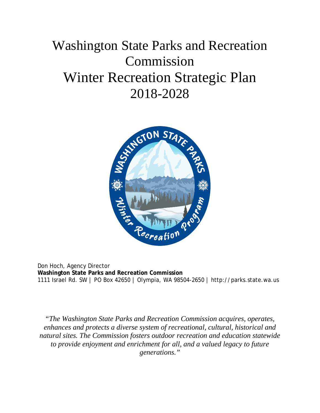# Washington State Parks and Recreation Commission Winter Recreation Strategic Plan 2018-2028



Don Hoch, Agency Director **Washington State Parks and Recreation Commission**  1111 Israel Rd. SW | PO Box 42650 | Olympia, WA 98504-2650 | http://parks.state.wa.us

*"The Washington State Parks and Recreation Commission acquires, operates, enhances and protects a diverse system of recreational, cultural, historical and natural sites. The Commission fosters outdoor recreation and education statewide to provide enjoyment and enrichment for all, and a valued legacy to future generations."*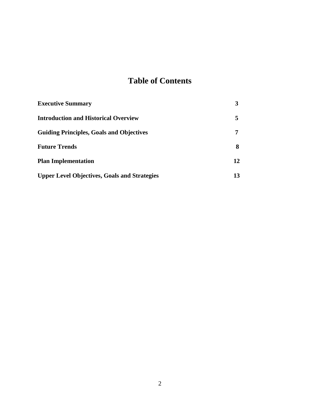### **Table of Contents**

| <b>Executive Summary</b>                            |    |
|-----------------------------------------------------|----|
| <b>Introduction and Historical Overview</b>         | 5  |
| <b>Guiding Principles, Goals and Objectives</b>     | 7  |
| <b>Future Trends</b>                                | 8  |
| <b>Plan Implementation</b>                          | 12 |
| <b>Upper Level Objectives, Goals and Strategies</b> | 13 |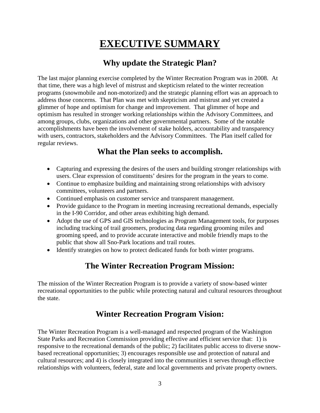## **EXECUTIVE SUMMARY**

### **Why update the Strategic Plan?**

The last major planning exercise completed by the Winter Recreation Program was in 2008. At that time, there was a high level of mistrust and skepticism related to the winter recreation programs (snowmobile and non-motorized) and the strategic planning effort was an approach to address those concerns. That Plan was met with skepticism and mistrust and yet created a glimmer of hope and optimism for change and improvement. That glimmer of hope and optimism has resulted in stronger working relationships within the Advisory Committees, and among groups, clubs, organizations and other governmental partners. Some of the notable accomplishments have been the involvement of stake holders, accountability and transparency with users, contractors, stakeholders and the Advisory Committees. The Plan itself called for regular reviews.

### **What the Plan seeks to accomplish.**

- Capturing and expressing the desires of the users and building stronger relationships with users. Clear expression of constituents' desires for the program in the years to come.
- Continue to emphasize building and maintaining strong relationships with advisory committees, volunteers and partners.
- Continued emphasis on customer service and transparent management.
- Provide guidance to the Program in meeting increasing recreational demands, especially in the I-90 Corridor, and other areas exhibiting high demand.
- Adopt the use of GPS and GIS technologies as Program Management tools, for purposes including tracking of trail groomers, producing data regarding grooming miles and grooming speed, and to provide accurate interactive and mobile friendly maps to the public that show all Sno-Park locations and trail routes.
- Identify strategies on how to protect dedicated funds for both winter programs.

### **The Winter Recreation Program Mission:**

The mission of the Winter Recreation Program is to provide a variety of snow-based winter recreational opportunities to the public while protecting natural and cultural resources throughout the state.

### **Winter Recreation Program Vision:**

The Winter Recreation Program is a well-managed and respected program of the Washington State Parks and Recreation Commission providing effective and efficient service that: 1) is responsive to the recreational demands of the public; 2) facilitates public access to diverse snowbased recreational opportunities; 3) encourages responsible use and protection of natural and cultural resources; and 4) is closely integrated into the communities it serves through effective relationships with volunteers, federal, state and local governments and private property owners.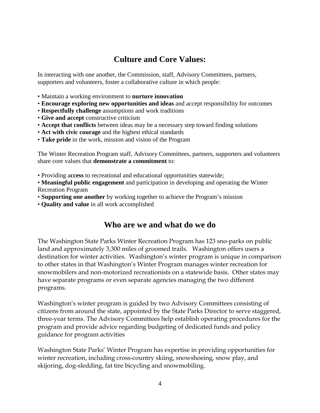### **Culture and Core Values:**

In interacting with one another, the Commission, staff, Advisory Committees, partners, supporters and volunteers, foster a collaborative culture in which people:

- Maintain a working environment to **nurture innovation**
- **Encourage exploring new opportunities and ideas** and accept responsibility for outcomes
- **Respectfully challenge** assumptions and work traditions
- **Give and accept** constructive criticism
- **Accept that conflicts** between ideas may be a necessary step toward finding solutions
- **Act with civic courage** and the highest ethical standards
- **Take pride** in the work, mission and vision of the Program

The Winter Recreation Program staff, Advisory Committees, partners, supporters and volunteers share core values that **demonstrate a commitment** to:

• Providing a**ccess** to recreational and educational opportunities statewide;

• **Meaningful public engagement** and participation in developing and operating the Winter Recreation Program

- **Supporting one another** by working together to achieve the Program's mission
- **Quality and value** in all work accomplished

### **Who are we and what do we do**

The Washington State Parks Winter Recreation Program has 123 sno-parks on public land and approximately 3,300 miles of groomed trails. Washington offers users a destination for winter activities. Washington's winter program is unique in comparison to other states in that Washington's Winter Program manages winter recreation for snowmobilers and non-motorized recreationists on a statewide basis. Other states may have separate programs or even separate agencies managing the two different programs.

Washington's winter program is guided by two Advisory Committees consisting of citizens from around the state, appointed by the State Parks Director to serve staggered, three-year terms. The Advisory Committees help establish operating procedures for the program and provide advice regarding budgeting of dedicated funds and policy guidance for program activities

Washington State Parks' Winter Program has expertise in providing opportunities for winter recreation, including cross-country skiing, snowshoeing, snow play, and skijoring, dog-sledding, fat tire bicycling and snowmobiling.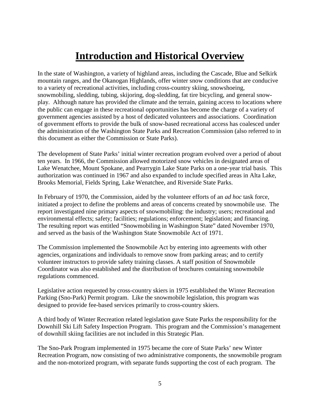## **Introduction and Historical Overview**

In the state of Washington, a variety of highland areas, including the Cascade, Blue and Selkirk mountain ranges, and the Okanogan Highlands, offer winter snow conditions that are conducive to a variety of recreational activities, including cross-country skiing, snowshoeing, snowmobiling, sledding, tubing, skijoring, dog-sledding, fat tire bicycling, and general snowplay. Although nature has provided the climate and the terrain, gaining access to locations where the public can engage in these recreational opportunities has become the charge of a variety of government agencies assisted by a host of dedicated volunteers and associations. Coordination of government efforts to provide the bulk of snow-based recreational access has coalesced under the administration of the Washington State Parks and Recreation Commission (also referred to in this document as either the Commission or State Parks).

The development of State Parks' initial winter recreation program evolved over a period of about ten years. In 1966, the Commission allowed motorized snow vehicles in designated areas of Lake Wenatchee, Mount Spokane, and Pearrygin Lake State Parks on a one-year trial basis. This authorization was continued in 1967 and also expanded to include specified areas in Alta Lake, Brooks Memorial, Fields Spring, Lake Wenatchee, and Riverside State Parks.

In February of 1970, the Commission, aided by the volunteer efforts of an *ad hoc* task force, initiated a project to define the problems and areas of concerns created by snowmobile use. The report investigated nine primary aspects of snowmobiling: the industry; users; recreational and environmental effects; safety; facilities; regulations; enforcement; legislation; and financing. The resulting report was entitled "Snowmobiling in Washington State" dated November 1970, and served as the basis of the Washington State Snowmobile Act of 1971.

The Commission implemented the Snowmobile Act by entering into agreements with other agencies, organizations and individuals to remove snow from parking areas; and to certify volunteer instructors to provide safety training classes. A staff position of Snowmobile Coordinator was also established and the distribution of brochures containing snowmobile regulations commenced.

Legislative action requested by cross-country skiers in 1975 established the Winter Recreation Parking (Sno-Park) Permit program. Like the snowmobile legislation, this program was designed to provide fee-based services primarily to cross-country skiers.

A third body of Winter Recreation related legislation gave State Parks the responsibility for the Downhill Ski Lift Safety Inspection Program. This program and the Commission's management of downhill skiing facilities are not included in this Strategic Plan.

The Sno-Park Program implemented in 1975 became the core of State Parks' new Winter Recreation Program, now consisting of two administrative components, the snowmobile program and the non-motorized program, with separate funds supporting the cost of each program. The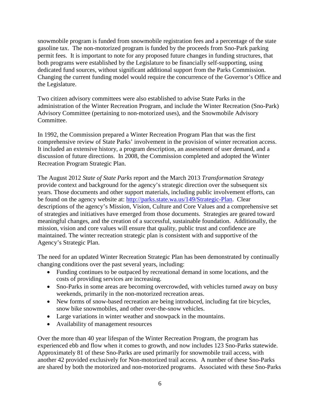snowmobile program is funded from snowmobile registration fees and a percentage of the state gasoline tax. The non-motorized program is funded by the proceeds from Sno-Park parking permit fees. It is important to note for any proposed future changes in funding structures, that both programs were established by the Legislature to be financially self-supporting, using dedicated fund sources, without significant additional support from the Parks Commission. Changing the current funding model would require the concurrence of the Governor's Office and the Legislature.

Two citizen advisory committees were also established to advise State Parks in the administration of the Winter Recreation Program, and include the Winter Recreation (Sno-Park) Advisory Committee (pertaining to non-motorized uses), and the Snowmobile Advisory Committee.

In 1992, the Commission prepared a Winter Recreation Program Plan that was the first comprehensive review of State Parks' involvement in the provision of winter recreation access. It included an extensive history, a program description, an assessment of user demand, and a discussion of future directions. In 2008, the Commission completed and adopted the Winter Recreation Program Strategic Plan.

The August 2012 *State of State Parks* report and the March 2013 *Transformation Strategy*  provide context and background for the agency's strategic direction over the subsequent six years. Those documents and other support materials, including public involvement efforts, can be found on the agency website at: [http://parks.state.wa.us/149/Strategic-Plan.](http://parks.state.wa.us/149/Strategic-Plan) Clear descriptions of the agency's Mission, Vision, Culture and Core Values and a comprehensive set of strategies and initiatives have emerged from those documents. Strategies are geared toward meaningful changes, and the creation of a successful, sustainable foundation. Additionally, the mission, vision and core values will ensure that quality, public trust and confidence are maintained. The winter recreation strategic plan is consistent with and supportive of the Agency's Strategic Plan.

The need for an updated Winter Recreation Strategic Plan has been demonstrated by continually changing conditions over the past several years, including:

- Funding continues to be outpaced by recreational demand in some locations, and the costs of providing services are increasing.
- Sno-Parks in some areas are becoming overcrowded, with vehicles turned away on busy weekends, primarily in the non-motorized recreation areas.
- New forms of snow-based recreation are being introduced, including fat tire bicycles, snow bike snowmobiles, and other over-the-snow vehicles.
- Large variations in winter weather and snowpack in the mountains.
- Availability of management resources

Over the more than 40 year lifespan of the Winter Recreation Program, the program has experienced ebb and flow when it comes to growth, and now includes 123 Sno-Parks statewide. Approximately 81 of these Sno-Parks are used primarily for snowmobile trail access, with another 42 provided exclusively for Non-motorized trail access. A number of these Sno-Parks are shared by both the motorized and non-motorized programs. Associated with these Sno-Parks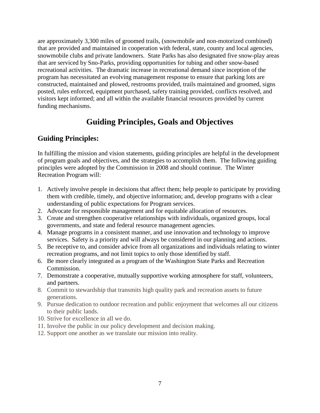are approximately 3,300 miles of groomed trails, (snowmobile and non-motorized combined) that are provided and maintained in cooperation with federal, state, county and local agencies, snowmobile clubs and private landowners. State Parks has also designated five snow-play areas that are serviced by Sno-Parks, providing opportunities for tubing and other snow-based recreational activities. The dramatic increase in recreational demand since inception of the program has necessitated an evolving management response to ensure that parking lots are constructed, maintained and plowed, restrooms provided, trails maintained and groomed, signs posted, rules enforced, equipment purchased, safety training provided, conflicts resolved, and visitors kept informed; and all within the available financial resources provided by current funding mechanisms.

### **Guiding Principles, Goals and Objectives**

### **Guiding Principles:**

In fulfilling the mission and vision statements, guiding principles are helpful in the development of program goals and objectives, and the strategies to accomplish them. The following guiding principles were adopted by the Commission in 2008 and should continue. The Winter Recreation Program will:

- 1. Actively involve people in decisions that affect them; help people to participate by providing them with credible, timely, and objective information; and, develop programs with a clear understanding of public expectations for Program services.
- 2. Advocate for responsible management and for equitable allocation of resources.
- 3. Create and strengthen cooperative relationships with individuals, organized groups, local governments, and state and federal resource management agencies.
- 4. Manage programs in a consistent manner, and use innovation and technology to improve services. Safety is a priority and will always be considered in our planning and actions.
- 5. Be receptive to, and consider advice from all organizations and individuals relating to winter recreation programs, and not limit topics to only those identified by staff.
- 6. Be more clearly integrated as a program of the Washington State Parks and Recreation Commission.
- 7. Demonstrate a cooperative, mutually supportive working atmosphere for staff, volunteers, and partners.
- 8. Commit to stewardship that transmits high quality park and recreation assets to future generations.
- 9. Pursue dedication to outdoor recreation and public enjoyment that welcomes all our citizens to their public lands.
- 10. Strive for excellence in all we do.
- 11. Involve the public in our policy development and decision making.
- 12. Support one another as we translate our mission into reality.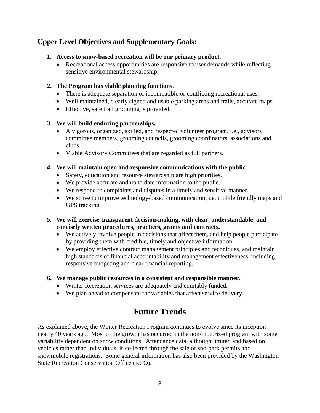### **Upper Level Objectives and Supplementary Goals:**

#### **1. Access to snow-based recreation will be our primary product.**

• Recreational access opportunities are responsive to user demands while reflecting sensitive environmental stewardship.

#### **2. The Program has viable planning functions**.

- There is adequate separation of incompatible or conflicting recreational uses.
- Well maintained, clearly signed and usable parking areas and trails, accurate maps.
- Effective, safe trail grooming is provided.

#### **3 We will build enduring partnerships.**

- A vigorous, organized, skilled, and respected volunteer program, i.e., advisory committee members, grooming councils, grooming coordinators, associations and clubs.
- Viable Advisory Committees that are regarded as full partners.

#### **4. We will maintain open and responsive communications with the public.**

- Safety, education and resource stewardship are high priorities.
- We provide accurate and up to date information to the public.
- We respond to complaints and disputes in a timely and sensitive manner.
- We strive to improve technology-based communication, i.e. mobile friendly maps and GPS tracking.

#### **5. We will exercise transparent decision-making, with clear, understandable, and concisely written procedures, practices, grants and contracts.**

- We actively involve people in decisions that affect them, and help people participate by providing them with credible, timely and objective information.
- We employ effective contract management principles and techniques, and maintain high standards of financial accountability and management effectiveness, including responsive budgeting and clear financial reporting.

#### **6. We manage public resources in a consistent and responsible manner.**

- Winter Recreation services are adequately and equitably funded.
- We plan ahead to compensate for variables that affect service delivery.

### **Future Trends**

As explained above, the Winter Recreation Program continues to evolve since its inception nearly 40 years ago. Most of the growth has occurred in the non-motorized program with some variability dependent on snow conditions. Attendance data, although limited and based on vehicles rather than individuals, is collected through the sale of sno-park permits and snowmobile registrations. Some general information has also been provided by the Washington State Recreation Conservation Office (RCO).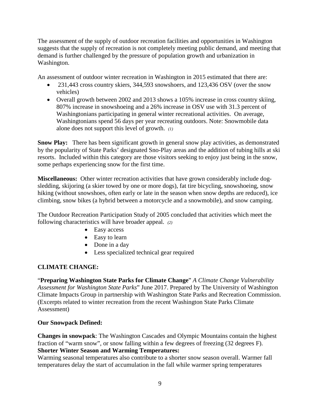The assessment of the supply of outdoor recreation facilities and opportunities in Washington suggests that the supply of recreation is not completely meeting public demand, and meeting that demand is further challenged by the pressure of population growth and urbanization in Washington.

An assessment of outdoor winter recreation in Washington in 2015 estimated that there are:

- 231,443 cross country skiers, 344,593 snowshoers, and 123,436 OSV (over the snow vehicles)
- Overall growth between 2002 and 2013 shows a 105% increase in cross country skiing, 807% increase in snowshoeing and a 26% increase in OSV use with 31.3 percent of Washingtonians participating in general winter recreational activities. On average, Washingtonians spend 56 days per year recreating outdoors. Note: Snowmobile data alone does not support this level of growth. *(1)*

**Snow Play:** There has been significant growth in general snow play activities, as demonstrated by the popularity of State Parks' designated Sno-Play areas and the addition of tubing hills at ski resorts. Included within this category are those visitors seeking to enjoy just being in the snow, some perhaps experiencing snow for the first time.

**Miscellaneous:** Other winter recreation activities that have grown considerably include dogsledding, skijoring (a skier towed by one or more dogs), fat tire bicycling, snowshoeing, snow hiking (without snowshoes, often early or late in the season when snow depths are reduced), ice climbing, snow bikes (a hybrid between a motorcycle and a snowmobile), and snow camping.

The Outdoor Recreation Participation Study of 2005 concluded that activities which meet the following characteristics will have broader appeal. *(2)*

- Easy access
- Easy to learn
- Done in a day
- Less specialized technical gear required

#### **CLIMATE CHANGE:**

"**Preparing Washington State Parks for Climate Change**" *A Climate Change Vulnerability Assessment for Washington State Parks*" June 2017. Prepared by The University of Washington Climate Impacts Group in partnership with Washington State Parks and Recreation Commission. (Excerpts related to winter recreation from the recent Washington State Parks Climate Assessment)

#### **Our Snowpack Defined:**

**Changes in snowpack**: The Washington Cascades and Olympic Mountains contain the highest fraction of "warm snow", or snow falling within a few degrees of freezing (32 degrees F). **Shorter Winter Season and Warming Temperatures:**

Warming seasonal temperatures also contribute to a shorter snow season overall. Warmer fall temperatures delay the start of accumulation in the fall while warmer spring temperatures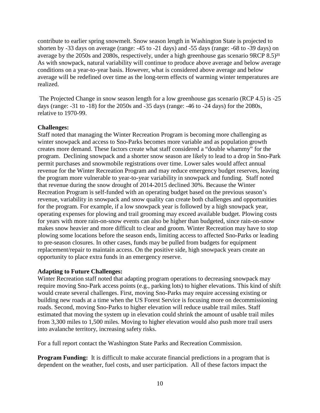contribute to earlier spring snowmelt. Snow season length in Washington State is projected to shorten by -33 days on average (range: -45 to -21 days) and -55 days (range: -68 to -39 days) on average by the  $2050s$  and  $2080s$ , respectively, under a high greenhouse gas scenario  $9RCP 8.5)^{21}$ As with snowpack, natural variability will continue to produce above average and below average conditions on a year-to-year basis. However, what is considered above average and below average will be redefined over time as the long-term effects of warming winter temperatures are realized.

The Projected Change in snow season length for a low greenhouse gas scenario (RCP 4.5) is -25 days (range: -31 to -18) for the 2050s and -35 days (range: -46 to -24 days) for the 2080s, relative to 1970-99.

#### **Challenges:**

Staff noted that managing the Winter Recreation Program is becoming more challenging as winter snowpack and access to Sno-Parks becomes more variable and as population growth creates more demand. These factors create what staff considered a "double whammy" for the program. Declining snowpack and a shorter snow season are likely to lead to a drop in Sno-Park permit purchases and snowmobile registrations over time. Lower sales would affect annual revenue for the Winter Recreation Program and may reduce emergency budget reserves, leaving the program more vulnerable to year-to-year variability in snowpack and funding. Staff noted that revenue during the snow drought of 2014-2015 declined 30%. Because the Winter Recreation Program is self-funded with an operating budget based on the previous season's revenue, variability in snowpack and snow quality can create both challenges and opportunities for the program. For example, if a low snowpack year is followed by a high snowpack year, operating expenses for plowing and trail grooming may exceed available budget. Plowing costs for years with more rain-on-snow events can also be higher than budgeted, since rain-on-snow makes snow heavier and more difficult to clear and groom. Winter Recreation may have to stop plowing some locations before the season ends, limiting access to affected Sno-Parks or leading to pre-season closures. In other cases, funds may be pulled from budgets for equipment replacement/repair to maintain access. On the positive side, high snowpack years create an opportunity to place extra funds in an emergency reserve.

#### **Adapting to Future Challenges:**

Winter Recreation staff noted that adapting program operations to decreasing snowpack may require moving Sno-Park access points (e.g., parking lots) to higher elevations. This kind of shift would create several challenges. First, moving Sno-Parks may require accessing existing or building new roads at a time when the US Forest Service is focusing more on decommissioning roads. Second, moving Sno-Parks to higher elevation will reduce usable trail miles. Staff estimated that moving the system up in elevation could shrink the amount of usable trail miles from 3,300 miles to 1,500 miles. Moving to higher elevation would also push more trail users into avalanche territory, increasing safety risks.

For a full report contact the Washington State Parks and Recreation Commission.

**Program Funding:** It is difficult to make accurate financial predictions in a program that is dependent on the weather, fuel costs, and user participation. All of these factors impact the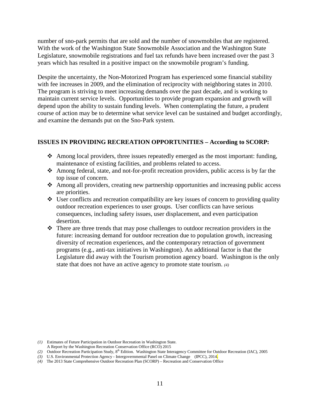number of sno-park permits that are sold and the number of snowmobiles that are registered. With the work of the Washington State Snowmobile Association and the Washington State Legislature, snowmobile registrations and fuel tax refunds have been increased over the past 3 years which has resulted in a positive impact on the snowmobile program's funding.

Despite the uncertainty, the Non-Motorized Program has experienced some financial stability with fee increases in 2009, and the elimination of reciprocity with neighboring states in 2010. The program is striving to meet increasing demands over the past decade, and is working to maintain current service levels. Opportunities to provide program expansion and growth will depend upon the ability to sustain funding levels. When contemplating the future, a prudent course of action may be to determine what service level can be sustained and budget accordingly, and examine the demands put on the Sno-Park system.

#### **ISSUES IN PROVIDING RECREATION OPPORTUNITIES – According to SCORP:**

- $\triangle$  Among local providers, three issues repeatedly emerged as the most important: funding, maintenance of existing facilities, and problems related to access.
- Among federal, state, and not-for-profit recreation providers, public access is by far the top issue of concern.
- $\triangle$  Among all providers, creating new partnership opportunities and increasing public access are priorities.
- $\triangleleft$  User conflicts and recreation compatibility are key issues of concern to providing quality outdoor recreation experiences to user groups. User conflicts can have serious consequences, including safety issues, user displacement, and even participation desertion.
- $\hat{\mathbf{v}}$  There are three trends that may pose challenges to outdoor recreation providers in the future: increasing demand for outdoor recreation due to population growth, increasing diversity of recreation experiences, and the contemporary retraction of government programs (e.g., anti-tax initiatives in Washington). An additional factor is that the Legislature did away with the Tourism promotion agency board. Washington is the only state that does not have an active agency to promote state tourism. *(4)*

*(3)* U.S. Environmental Protection Agency - Intergovernmental Panel on Climate Change (IPCC), 2014.

*<sup>(1)</sup>* Estimates of Future Participation in Outdoor Recreation in Washington State.

A Report by the Washington Recreation Conservation Office (RCO) 2015

<sup>(2)</sup> Outdoor Recreation Participation Study, 8<sup>th</sup> Edition. Washington State Interagency Committee for Outdoor Recreation (IAC), 2005

*<sup>(4)</sup>* The 2013 State Comprehensive Outdoor Recreation Plan (SCORP) – Recreation and Conservation Office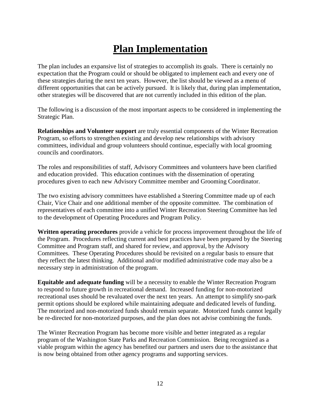## **Plan Implementation**

The plan includes an expansive list of strategies to accomplish its goals. There is certainly no expectation that the Program could or should be obligated to implement each and every one of these strategies during the next ten years. However, the list should be viewed as a menu of different opportunities that can be actively pursued. It is likely that, during plan implementation, other strategies will be discovered that are not currently included in this edition of the plan.

The following is a discussion of the most important aspects to be considered in implementing the Strategic Plan.

**Relationships and Volunteer support** are truly essential components of the Winter Recreation Program, so efforts to strengthen existing and develop new relationships with advisory committees, individual and group volunteers should continue, especially with local grooming councils and coordinators.

The roles and responsibilities of staff, Advisory Committees and volunteers have been clarified and education provided. This education continues with the dissemination of operating procedures given to each new Advisory Committee member and Grooming Coordinator.

The two existing advisory committees have established a Steering Committee made up of each Chair, Vice Chair and one additional member of the opposite committee. The combination of representatives of each committee into a unified Winter Recreation Steering Committee has led to the development of Operating Procedures and Program Policy.

**Written operating procedures** provide a vehicle for process improvement throughout the life of the Program. Procedures reflecting current and best practices have been prepared by the Steering Committee and Program staff, and shared for review, and approval, by the Advisory Committees. These Operating Procedures should be revisited on a regular basis to ensure that they reflect the latest thinking. Additional and/or modified administrative code may also be a necessary step in administration of the program.

**Equitable and adequate funding** will be a necessity to enable the Winter Recreation Program to respond to future growth in recreational demand. Increased funding for non-motorized recreational uses should be revaluated over the next ten years. An attempt to simplify sno-park permit options should be explored while maintaining adequate and dedicated levels of funding. The motorized and non-motorized funds should remain separate. Motorized funds cannot legally be re-directed for non-motorized purposes, and the plan does not advise combining the funds.

The Winter Recreation Program has become more visible and better integrated as a regular program of the Washington State Parks and Recreation Commission. Being recognized as a viable program within the agency has benefited our partners and users due to the assistance that is now being obtained from other agency programs and supporting services.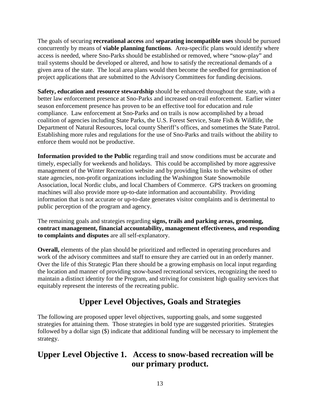The goals of securing **recreational access** and **separating incompatible uses** should be pursued concurrently by means of **viable planning functions**. Area-specific plans would identify where access is needed, where Sno-Parks should be established or removed, where "snow-play" and trail systems should be developed or altered, and how to satisfy the recreational demands of a given area of the state. The local area plans would then become the seedbed for germination of project applications that are submitted to the Advisory Committees for funding decisions.

**Safety, education and resource stewardship** should be enhanced throughout the state, with a better law enforcement presence at Sno-Parks and increased on-trail enforcement. Earlier winter season enforcement presence has proven to be an effective tool for education and rule compliance. Law enforcement at Sno-Parks and on trails is now accomplished by a broad coalition of agencies including State Parks, the U.S. Forest Service, State Fish & Wildlife, the Department of Natural Resources, local county Sheriff's offices, and sometimes the State Patrol. Establishing more rules and regulations for the use of Sno-Parks and trails without the ability to enforce them would not be productive.

**Information provided to the Public regarding trail and snow conditions must be accurate and** timely, especially for weekends and holidays. This could be accomplished by more aggressive management of the Winter Recreation website and by providing links to the websites of other state agencies, non-profit organizations including the Washington State Snowmobile Association, local Nordic clubs, and local Chambers of Commerce. GPS trackers on grooming machines will also provide more up-to-date information and accountability. Providing information that is not accurate or up-to-date generates visitor complaints and is detrimental to public perception of the program and agency.

The remaining goals and strategies regarding **signs, trails and parking areas, grooming, contract management, financial accountability, management effectiveness, and responding to complaints and disputes** are all self-explanatory.

**Overall,** elements of the plan should be prioritized and reflected in operating procedures and work of the advisory committees and staff to ensure they are carried out in an orderly manner. Over the life of this Strategic Plan there should be a growing emphasis on local input regarding the location and manner of providing snow-based recreational services, recognizing the need to maintain a distinct identity for the Program, and striving for consistent high quality services that equitably represent the interests of the recreating public.

### **Upper Level Objectives, Goals and Strategies**

The following are proposed upper level objectives, supporting goals, and some suggested strategies for attaining them. Those strategies in bold type are suggested priorities. Strategies followed by a dollar sign (\$) indicate that additional funding will be necessary to implement the strategy.

### **Upper Level Objective 1. Access to snow-based recreation will be our primary product.**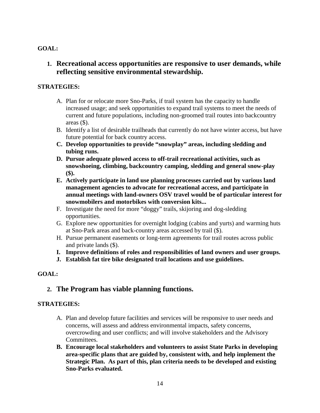#### **1. Recreational access opportunities are responsive to user demands, while reflecting sensitive environmental stewardship.**

#### **STRATEGIES:**

- A. Plan for or relocate more Sno-Parks, if trail system has the capacity to handle increased usage; and seek opportunities to expand trail systems to meet the needs of current and future populations, including non-groomed trail routes into backcountry areas (\$).
- B. Identify a list of desirable trailheads that currently do not have winter access, but have future potential for back country access.
- **C. Develop opportunities to provide "snowplay" areas, including sledding and tubing runs.**
- **D. Pursue adequate plowed access to off-trail recreational activities, such as snowshoeing, climbing, backcountry camping, sledding and general snow-play (\$).**
- **E. Actively participate in land use planning processes carried out by various land management agencies to advocate for recreational access, and participate in annual meetings with land-owners OSV travel would be of particular interest for snowmobilers and motorbikes with conversion kits...**
- F. Investigate the need for more "doggy" trails, skijoring and dog-sledding opportunities.
- G. Explore new opportunities for overnight lodging (cabins and yurts) and warming huts at Sno-Park areas and back-country areas accessed by trail (\$).
- H. Pursue permanent easements or long-term agreements for trail routes across public and private lands (\$).
- **I. Improve definitions of roles and responsibilities of land owners and user groups.**
- **J. Establish fat tire bike designated trail locations and use guidelines.**

#### **GOAL:**

#### **2. The Program has viable planning functions.**

- A. Plan and develop future facilities and services will be responsive to user needs and concerns, will assess and address environmental impacts, safety concerns, overcrowding and user conflicts; and will involve stakeholders and the Advisory Committees.
- **B. Encourage local stakeholders and volunteers to assist State Parks in developing area-specific plans that are guided by, consistent with, and help implement the Strategic Plan. As part of this, plan criteria needs to be developed and existing Sno-Parks evaluated.**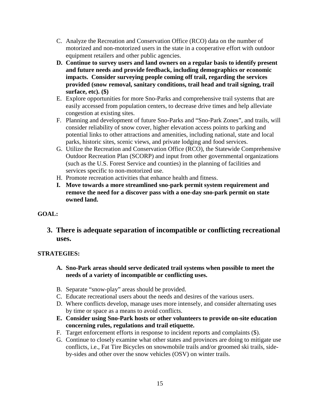- C. Analyze the Recreation and Conservation Office (RCO) data on the number of motorized and non-motorized users in the state in a cooperative effort with outdoor equipment retailers and other public agencies.
- **D. Continue to survey users and land owners on a regular basis to identify present and future needs and provide feedback, including demographics or economic impacts. Consider surveying people coming off trail, regarding the services provided (snow removal, sanitary conditions, trail head and trail signing, trail surface, etc). (\$)**
- E. Explore opportunities for more Sno-Parks and comprehensive trail systems that are easily accessed from population centers, to decrease drive times and help alleviate congestion at existing sites.
- F. Planning and development of future Sno-Parks and "Sno-Park Zones", and trails, will consider reliability of snow cover, higher elevation access points to parking and potential links to other attractions and amenities, including national, state and local parks, historic sites, scenic views, and private lodging and food services.
- G. Utilize the Recreation and Conservation Office (RCO), the Statewide Comprehensive Outdoor Recreation Plan (SCORP) and input from other governmental organizations (such as the U.S. Forest Service and counties) in the planning of facilities and services specific to non-motorized use.
- H. Promote recreation activities that enhance health and fitness.
- **I. Move towards a more streamlined sno-park permit system requirement and remove the need for a discover pass with a one-day sno-park permit on state owned land.**

**3. There is adequate separation of incompatible or conflicting recreational uses.** 

- **A. Sno-Park areas should serve dedicated trail systems when possible to meet the needs of a variety of incompatible or conflicting uses.**
- B. Separate "snow-play" areas should be provided.
- C. Educate recreational users about the needs and desires of the various users.
- D. Where conflicts develop, manage uses more intensely, and consider alternating uses by time or space as a means to avoid conflicts.
- **E. Consider using Sno-Park hosts or other volunteers to provide on-site education concerning rules, regulations and trail etiquette.**
- F. Target enforcement efforts in response to incident reports and complaints (\$).
- G. Continue to closely examine what other states and provinces are doing to mitigate use conflicts, i.e., Fat Tire Bicycles on snowmobile trails and/or groomed ski trails, sideby-sides and other over the snow vehicles (OSV) on winter trails.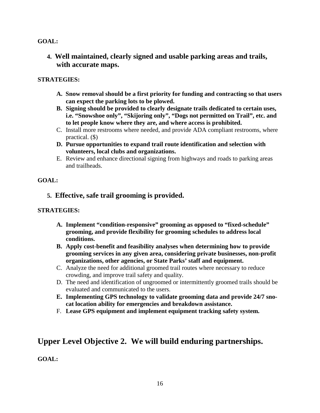**4. Well maintained, clearly signed and usable parking areas and trails, with accurate maps.**

#### **STRATEGIES:**

- **A. Snow removal should be a first priority for funding and contracting so that users can expect the parking lots to be plowed.**
- **B. Signing should be provided to clearly designate trails dedicated to certain uses, i.e. "Snowshoe only", "Skijoring only", "Dogs not permitted on Trail", etc. and to let people know where they are, and where access is prohibited.**
- C. Install more restrooms where needed, and provide ADA compliant restrooms, where practical. (\$)
- **D. Pursue opportunities to expand trail route identification and selection with volunteers, local clubs and organizations.**
- E. Review and enhance directional signing from highways and roads to parking areas and trailheads.

#### **GOAL:**

#### **5. Effective, safe trail grooming is provided.**

#### **STRATEGIES:**

- **A. Implement "condition-responsive" grooming as opposed to "fixed-schedule" grooming, and provide flexibility for grooming schedules to address local conditions.**
- **B. Apply cost-benefit and feasibility analyses when determining how to provide grooming services in any given area, considering private businesses, non-profit organizations, other agencies, or State Parks' staff and equipment.**
- C. Analyze the need for additional groomed trail routes where necessary to reduce crowding, and improve trail safety and quality.
- D. The need and identification of ungroomed or intermittently groomed trails should be evaluated and communicated to the users.
- **E. Implementing GPS technology to validate grooming data and provide 24/7 snocat location ability for emergencies and breakdown assistance.**
- F. **Lease GPS equipment and implement equipment tracking safety system.**

### **Upper Level Objective 2. We will build enduring partnerships.**

**GOAL:**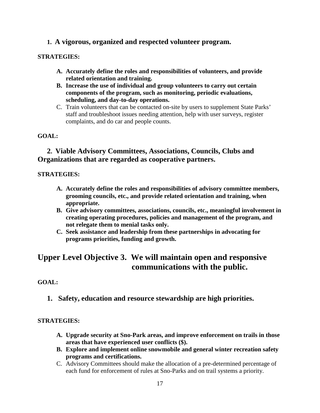#### **1. A vigorous, organized and respected volunteer program.**

#### **STRATEGIES:**

- **A. Accurately define the roles and responsibilities of volunteers, and provide related orientation and training.**
- **B. Increase the use of individual and group volunteers to carry out certain components of the program, such as monitoring, periodic evaluations, scheduling, and day-to-day operations.**
- C. Train volunteers that can be contacted on-site by users to supplement State Parks' staff and troubleshoot issues needing attention, help with user surveys, register complaints, and do car and people counts.

#### **GOAL:**

#### **2. Viable Advisory Committees, Associations, Councils, Clubs and Organizations that are regarded as cooperative partners.**

#### **STRATEGIES:**

- **A. Accurately define the roles and responsibilities of advisory committee members, grooming councils, etc., and provide related orientation and training, when appropriate.**
- **B. Give advisory committees, associations, councils, etc., meaningful involvement in creating operating procedures, policies and management of the program, and not relegate them to menial tasks only.**
- **C. Seek assistance and leadership from these partnerships in advocating for programs priorities, funding and growth.**

### **Upper Level Objective 3. We will maintain open and responsive communications with the public.**

#### **GOAL:**

**1. Safety, education and resource stewardship are high priorities.**

- **A. Upgrade security at Sno-Park areas, and improve enforcement on trails in those areas that have experienced user conflicts (\$).**
- **B. Explore and implement online snowmobile and general winter recreation safety programs and certifications.**
- C. Advisory Committees should make the allocation of a pre-determined percentage of each fund for enforcement of rules at Sno-Parks and on trail systems a priority.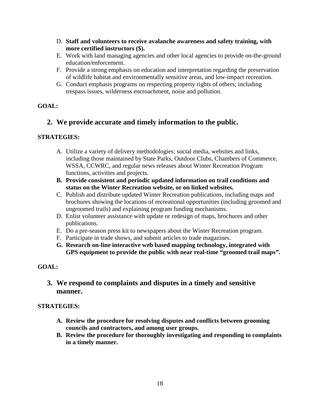- D. **Staff and volunteers to receive avalanche awareness and safety training, with more certified instructors (\$).**
- E. Work with land managing agencies and other local agencies to provide on-the-ground education/enforcement.
- F. Provide a strong emphasis on education and interpretation regarding the preservation of wildlife habitat and environmentally sensitive areas, and low-impact recreation.
- G. Conduct emphasis programs on respecting property rights of others; including trespass issues, wilderness encroachment, noise and pollution.

#### **2. We provide accurate and timely information to the public.**

#### **STRATEGIES:**

- A. Utilize a variety of delivery methodologies; social media, websites and links, including those maintained by State Parks, Outdoor Clubs, Chambers of Commerce, WSSA, CCWRC, and regular news releases about Winter Recreation Program functions, activities and projects.
- **B. Provide consistent and periodic updated information on trail conditions and status on the Winter Recreation website, or on linked websites.**
- C. Publish and distribute updated Winter Recreation publications, including maps and brochures showing the locations of recreational opportunities (including groomed and ungroomed trails) and explaining program funding mechanisms.
- D. Enlist volunteer assistance with update or redesign of maps, brochures and other publications.
- E. Do a pre-season press kit to newspapers about the Winter Recreation program.
- F. Participate in trade shows, and submit articles to trade magazines.
- **G. Research on-line interactive web based mapping technology, integrated with GPS equipment to provide the public with near real-time "groomed trail maps".**

#### **GOAL:**

**3. We respond to complaints and disputes in a timely and sensitive manner.** 

- **A. Review the procedure for resolving disputes and conflicts between grooming councils and contractors, and among user groups.**
- **B. Review the procedure for thoroughly investigating and responding to complaints in a timely manner.**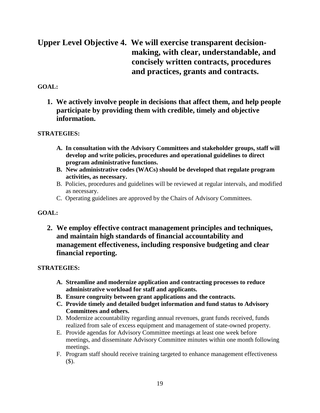### **Upper Level Objective 4. We will exercise transparent decisionmaking, with clear, understandable, and concisely written contracts, procedures and practices, grants and contracts.**

#### **GOAL:**

**1. We actively involve people in decisions that affect them, and help people participate by providing them with credible, timely and objective information.** 

#### **STRATEGIES:**

- **A. In consultation with the Advisory Committees and stakeholder groups, staff will develop and write policies, procedures and operational guidelines to direct program administrative functions.**
- **B. New administrative codes (WACs) should be developed that regulate program activities, as necessary.**
- B. Policies, procedures and guidelines will be reviewed at regular intervals, and modified as necessary.
- C. Operating guidelines are approved by the Chairs of Advisory Committees.

#### **GOAL:**

**2. We employ effective contract management principles and techniques, and maintain high standards of financial accountability and management effectiveness, including responsive budgeting and clear financial reporting.** 

- **A. Streamline and modernize application and contracting processes to reduce administrative workload for staff and applicants.**
- **B. Ensure congruity between grant applications and the contracts.**
- **C. Provide timely and detailed budget information and fund status to Advisory Committees and others.**
- D. Modernize accountability regarding annual revenues, grant funds received, funds realized from sale of excess equipment and management of state-owned property.
- E. Provide agendas for Advisory Committee meetings at least one week before meetings, and disseminate Advisory Committee minutes within one month following meetings.
- F. Program staff should receive training targeted to enhance management effectiveness (\$).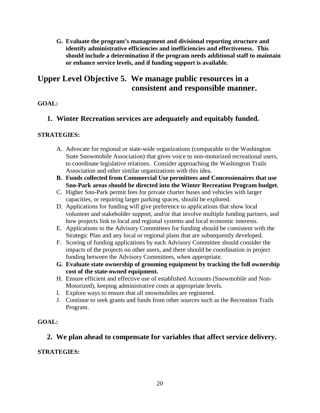**G. Evaluate the program's management and divisional reporting structure and identify administrative efficiencies and inefficiencies and effectiveness. This should include a determination if the program needs additional staff to maintain or enhance service levels, and if funding support is available.**

### **Upper Level Objective 5. We manage public resources in a consistent and responsible manner.**

#### **GOAL:**

#### **1. Winter Recreation services are adequately and equitably funded.**

#### **STRATEGIES:**

- A. Advocate for regional or state-wide organizations (comparable to the Washington State Snowmobile Association) that gives voice to non-motorized recreational users, to coordinate legislative relations. Consider approaching the Washington Trails Association and other similar organizations with this idea.
- **B. Funds collected from Commercial Use permittees and Concessionaires that use Sno-Park areas should be directed into the Winter Recreation Program budget.**
- C. Higher Sno-Park permit fees for private charter buses and vehicles with larger capacities, or requiring larger parking spaces, should be explored.
- D. Applications for funding will give preference to applications that show local volunteer and stakeholder support, and/or that involve multiple funding partners, and how projects link to local and regional systems and local economic interests.
- E. Applications to the Advisory Committees for funding should be consistent with the Strategic Plan and any local or regional plans that are subsequently developed.
- F. Scoring of funding applications by each Advisory Committee should consider the impacts of the projects on other users, and there should be coordination in project funding between the Advisory Committees, when appropriate.
- **G. Evaluate state ownership of grooming equipment by tracking the full ownership cost of the state-owned equipment.**
- H. Ensure efficient and effective use of established Accounts (Snowmobile and Non-Motorized), keeping administrative costs at appropriate levels.
- I. Explore ways to ensure that all snowmobiles are registered.
- J. Continue to seek grants and funds from other sources such as the Recreation Trails Program.

#### **GOAL:**

#### **2. We plan ahead to compensate for variables that affect service delivery.**